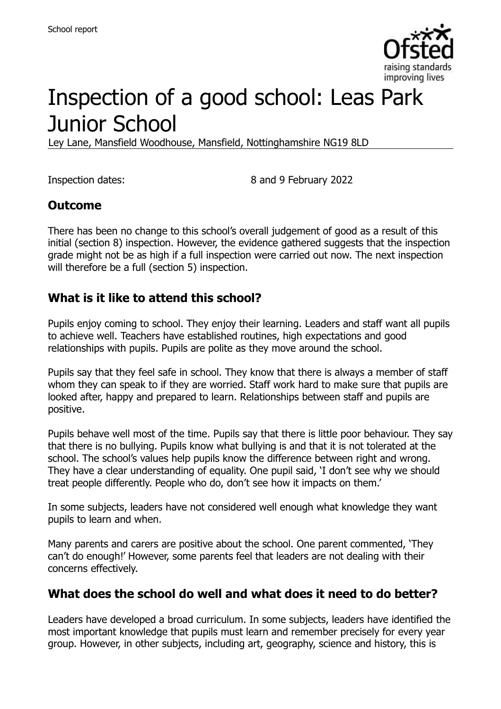

# Inspection of a good school: Leas Park Junior School

Ley Lane, Mansfield Woodhouse, Mansfield, Nottinghamshire NG19 8LD

Inspection dates: 8 and 9 February 2022

#### **Outcome**

There has been no change to this school's overall judgement of good as a result of this initial (section 8) inspection. However, the evidence gathered suggests that the inspection grade might not be as high if a full inspection were carried out now. The next inspection will therefore be a full (section 5) inspection.

#### **What is it like to attend this school?**

Pupils enjoy coming to school. They enjoy their learning. Leaders and staff want all pupils to achieve well. Teachers have established routines, high expectations and good relationships with pupils. Pupils are polite as they move around the school.

Pupils say that they feel safe in school. They know that there is always a member of staff whom they can speak to if they are worried. Staff work hard to make sure that pupils are looked after, happy and prepared to learn. Relationships between staff and pupils are positive.

Pupils behave well most of the time. Pupils say that there is little poor behaviour. They say that there is no bullying. Pupils know what bullying is and that it is not tolerated at the school. The school's values help pupils know the difference between right and wrong. They have a clear understanding of equality. One pupil said, 'I don't see why we should treat people differently. People who do, don't see how it impacts on them.'

In some subjects, leaders have not considered well enough what knowledge they want pupils to learn and when.

Many parents and carers are positive about the school. One parent commented, 'They can't do enough!' However, some parents feel that leaders are not dealing with their concerns effectively.

# **What does the school do well and what does it need to do better?**

Leaders have developed a broad curriculum. In some subjects, leaders have identified the most important knowledge that pupils must learn and remember precisely for every year group. However, in other subjects, including art, geography, science and history, this is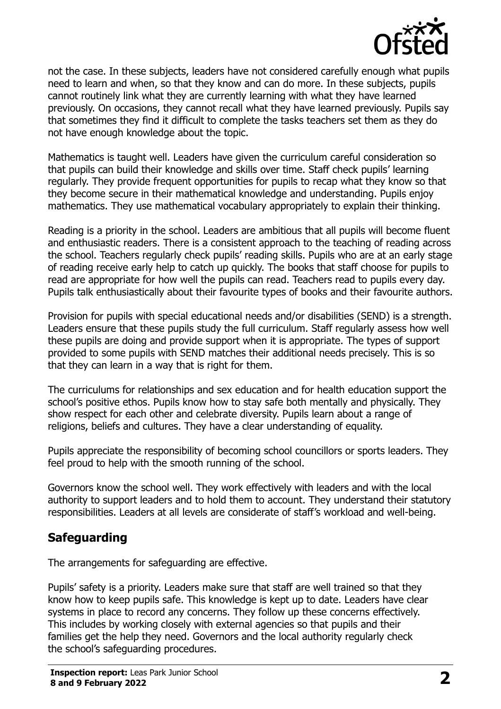

not the case. In these subjects, leaders have not considered carefully enough what pupils need to learn and when, so that they know and can do more. In these subjects, pupils cannot routinely link what they are currently learning with what they have learned previously. On occasions, they cannot recall what they have learned previously. Pupils say that sometimes they find it difficult to complete the tasks teachers set them as they do not have enough knowledge about the topic.

Mathematics is taught well. Leaders have given the curriculum careful consideration so that pupils can build their knowledge and skills over time. Staff check pupils' learning regularly. They provide frequent opportunities for pupils to recap what they know so that they become secure in their mathematical knowledge and understanding. Pupils enjoy mathematics. They use mathematical vocabulary appropriately to explain their thinking.

Reading is a priority in the school. Leaders are ambitious that all pupils will become fluent and enthusiastic readers. There is a consistent approach to the teaching of reading across the school. Teachers regularly check pupils' reading skills. Pupils who are at an early stage of reading receive early help to catch up quickly. The books that staff choose for pupils to read are appropriate for how well the pupils can read. Teachers read to pupils every day. Pupils talk enthusiastically about their favourite types of books and their favourite authors.

Provision for pupils with special educational needs and/or disabilities (SEND) is a strength. Leaders ensure that these pupils study the full curriculum. Staff regularly assess how well these pupils are doing and provide support when it is appropriate. The types of support provided to some pupils with SEND matches their additional needs precisely. This is so that they can learn in a way that is right for them.

The curriculums for relationships and sex education and for health education support the school's positive ethos. Pupils know how to stay safe both mentally and physically. They show respect for each other and celebrate diversity. Pupils learn about a range of religions, beliefs and cultures. They have a clear understanding of equality.

Pupils appreciate the responsibility of becoming school councillors or sports leaders. They feel proud to help with the smooth running of the school.

Governors know the school well. They work effectively with leaders and with the local authority to support leaders and to hold them to account. They understand their statutory responsibilities. Leaders at all levels are considerate of staff's workload and well-being.

# **Safeguarding**

The arrangements for safeguarding are effective.

Pupils' safety is a priority. Leaders make sure that staff are well trained so that they know how to keep pupils safe. This knowledge is kept up to date. Leaders have clear systems in place to record any concerns. They follow up these concerns effectively. This includes by working closely with external agencies so that pupils and their families get the help they need. Governors and the local authority regularly check the school's safeguarding procedures.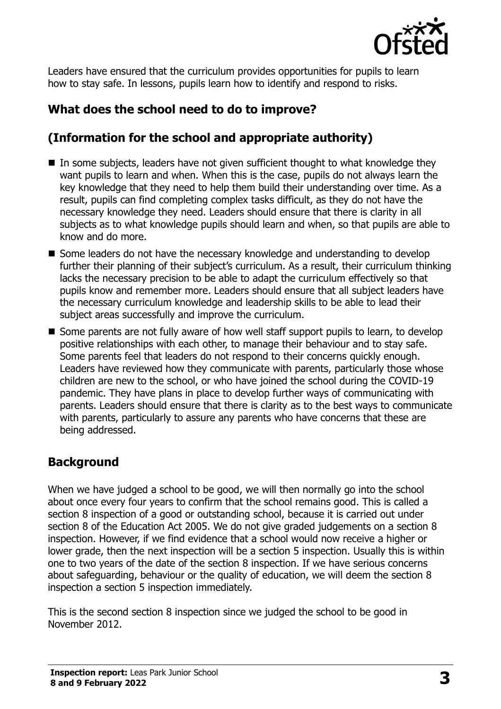

Leaders have ensured that the curriculum provides opportunities for pupils to learn how to stay safe. In lessons, pupils learn how to identify and respond to risks.

# **What does the school need to do to improve?**

# **(Information for the school and appropriate authority)**

- $\blacksquare$  In some subjects, leaders have not given sufficient thought to what knowledge they want pupils to learn and when. When this is the case, pupils do not always learn the key knowledge that they need to help them build their understanding over time. As a result, pupils can find completing complex tasks difficult, as they do not have the necessary knowledge they need. Leaders should ensure that there is clarity in all subjects as to what knowledge pupils should learn and when, so that pupils are able to know and do more.
- Some leaders do not have the necessary knowledge and understanding to develop further their planning of their subject's curriculum. As a result, their curriculum thinking lacks the necessary precision to be able to adapt the curriculum effectively so that pupils know and remember more. Leaders should ensure that all subject leaders have the necessary curriculum knowledge and leadership skills to be able to lead their subject areas successfully and improve the curriculum.
- Some parents are not fully aware of how well staff support pupils to learn, to develop positive relationships with each other, to manage their behaviour and to stay safe. Some parents feel that leaders do not respond to their concerns quickly enough. Leaders have reviewed how they communicate with parents, particularly those whose children are new to the school, or who have joined the school during the COVID-19 pandemic. They have plans in place to develop further ways of communicating with parents. Leaders should ensure that there is clarity as to the best ways to communicate with parents, particularly to assure any parents who have concerns that these are being addressed.

# **Background**

When we have judged a school to be good, we will then normally go into the school about once every four years to confirm that the school remains good. This is called a section 8 inspection of a good or outstanding school, because it is carried out under section 8 of the Education Act 2005. We do not give graded judgements on a section 8 inspection. However, if we find evidence that a school would now receive a higher or lower grade, then the next inspection will be a section 5 inspection. Usually this is within one to two years of the date of the section 8 inspection. If we have serious concerns about safeguarding, behaviour or the quality of education, we will deem the section 8 inspection a section 5 inspection immediately.

This is the second section 8 inspection since we judged the school to be good in November 2012.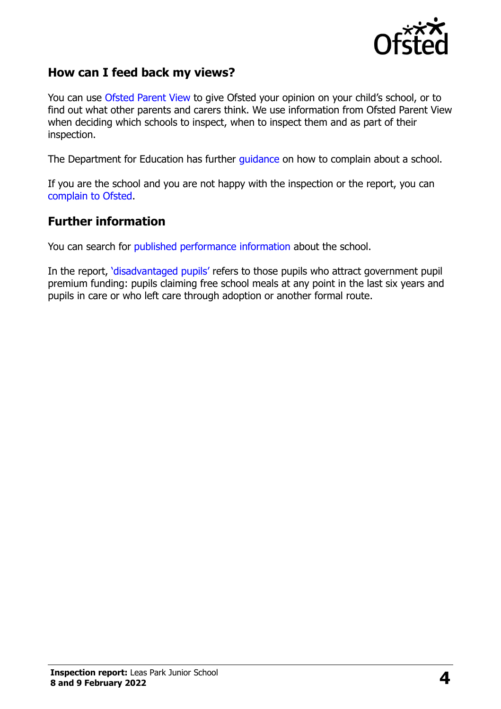

#### **How can I feed back my views?**

You can use [Ofsted Parent View](https://parentview.ofsted.gov.uk/) to give Ofsted your opinion on your child's school, or to find out what other parents and carers think. We use information from Ofsted Parent View when deciding which schools to inspect, when to inspect them and as part of their inspection.

The Department for Education has further [guidance](http://www.gov.uk/complain-about-school) on how to complain about a school.

If you are the school and you are not happy with the inspection or the report, you can [complain to Ofsted.](https://www.gov.uk/complain-ofsted-report)

#### **Further information**

You can search for [published performance](http://www.compare-school-performance.service.gov.uk/) information about the school.

In the report, '[disadvantaged pupils](http://www.gov.uk/guidance/pupil-premium-information-for-schools-and-alternative-provision-settings)' refers to those pupils who attract government pupil premium funding: pupils claiming free school meals at any point in the last six years and pupils in care or who left care through adoption or another formal route.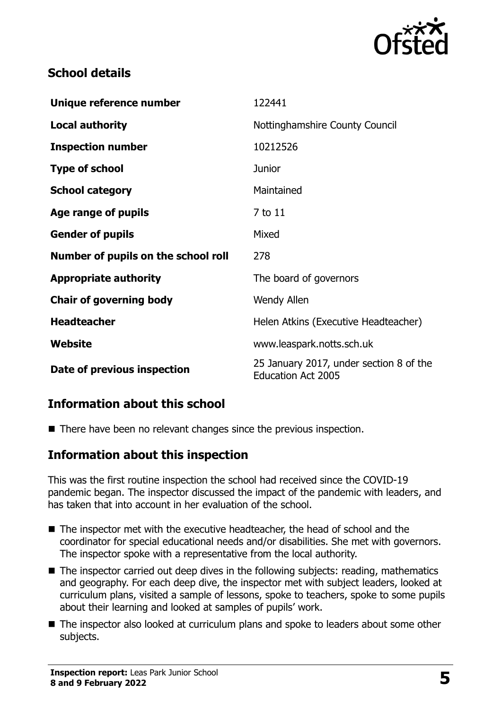

#### **School details**

| Unique reference number             | 122441                                                               |
|-------------------------------------|----------------------------------------------------------------------|
| <b>Local authority</b>              | Nottinghamshire County Council                                       |
| <b>Inspection number</b>            | 10212526                                                             |
| <b>Type of school</b>               | <b>Junior</b>                                                        |
| <b>School category</b>              | Maintained                                                           |
| Age range of pupils                 | 7 to 11                                                              |
| <b>Gender of pupils</b>             | Mixed                                                                |
| Number of pupils on the school roll | 278                                                                  |
| <b>Appropriate authority</b>        | The board of governors                                               |
| <b>Chair of governing body</b>      | Wendy Allen                                                          |
| <b>Headteacher</b>                  | Helen Atkins (Executive Headteacher)                                 |
| <b>Website</b>                      | www.leaspark.notts.sch.uk                                            |
| Date of previous inspection         | 25 January 2017, under section 8 of the<br><b>Education Act 2005</b> |

# **Information about this school**

■ There have been no relevant changes since the previous inspection.

#### **Information about this inspection**

This was the first routine inspection the school had received since the COVID-19 pandemic began. The inspector discussed the impact of the pandemic with leaders, and has taken that into account in her evaluation of the school.

- The inspector met with the executive headteacher, the head of school and the coordinator for special educational needs and/or disabilities. She met with governors. The inspector spoke with a representative from the local authority.
- The inspector carried out deep dives in the following subjects: reading, mathematics and geography. For each deep dive, the inspector met with subject leaders, looked at curriculum plans, visited a sample of lessons, spoke to teachers, spoke to some pupils about their learning and looked at samples of pupils' work.
- The inspector also looked at curriculum plans and spoke to leaders about some other subjects.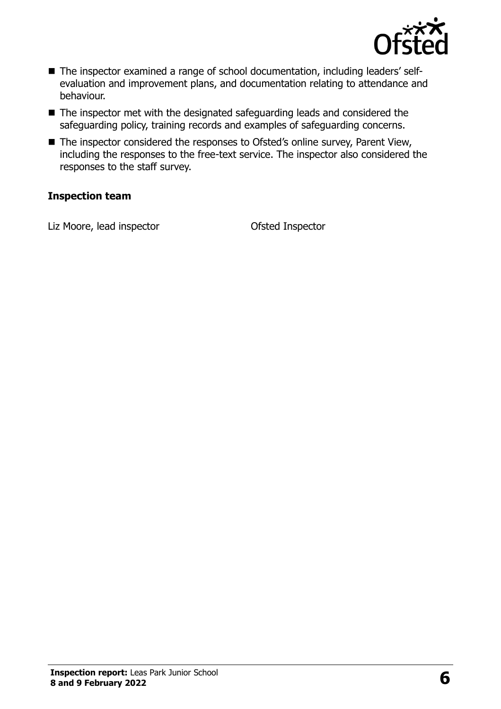

- The inspector examined a range of school documentation, including leaders' selfevaluation and improvement plans, and documentation relating to attendance and behaviour.
- The inspector met with the designated safeguarding leads and considered the safeguarding policy, training records and examples of safeguarding concerns.
- The inspector considered the responses to Ofsted's online survey, Parent View, including the responses to the free-text service. The inspector also considered the responses to the staff survey.

#### **Inspection team**

Liz Moore, lead inspector Ofsted Inspector